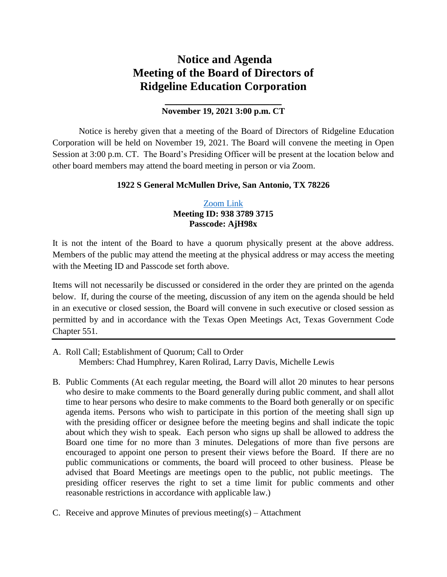# **Notice and Agenda Meeting of the Board of Directors of Ridgeline Education Corporation**

# **\_\_\_\_\_\_\_\_\_\_\_\_\_\_\_\_\_\_\_\_ November 19, 2021 3:00 p.m. CT**

Notice is hereby given that a meeting of the Board of Directors of Ridgeline Education Corporation will be held on November 19, 2021. The Board will convene the meeting in Open Session at 3:00 p.m. CT. The Board's Presiding Officer will be present at the location below and other board members may attend the board meeting in person or via Zoom.

## **1922 S General McMullen Drive, San Antonio, TX 78226**

# [Zoom Link](https://zoom.us/j/93837893715?pwd=RGJieWlFMHE5YU84T3IzQVo4QlhjZz09) **Meeting ID: 938 3789 3715 Passcode: AjH98x**

It is not the intent of the Board to have a quorum physically present at the above address. Members of the public may attend the meeting at the physical address or may access the meeting with the Meeting ID and Passcode set forth above.

Items will not necessarily be discussed or considered in the order they are printed on the agenda below. If, during the course of the meeting, discussion of any item on the agenda should be held in an executive or closed session, the Board will convene in such executive or closed session as permitted by and in accordance with the Texas Open Meetings Act, Texas Government Code Chapter 551.

- A. Roll Call; Establishment of Quorum; Call to Order Members: Chad Humphrey, Karen Rolirad, Larry Davis, Michelle Lewis
- B. Public Comments (At each regular meeting, the Board will allot 20 minutes to hear persons who desire to make comments to the Board generally during public comment, and shall allot time to hear persons who desire to make comments to the Board both generally or on specific agenda items. Persons who wish to participate in this portion of the meeting shall sign up with the presiding officer or designee before the meeting begins and shall indicate the topic about which they wish to speak. Each person who signs up shall be allowed to address the Board one time for no more than 3 minutes. Delegations of more than five persons are encouraged to appoint one person to present their views before the Board. If there are no public communications or comments, the board will proceed to other business. Please be advised that Board Meetings are meetings open to the public, not public meetings. The presiding officer reserves the right to set a time limit for public comments and other reasonable restrictions in accordance with applicable law.)
- C. Receive and approve Minutes of previous meeting(s) Attachment